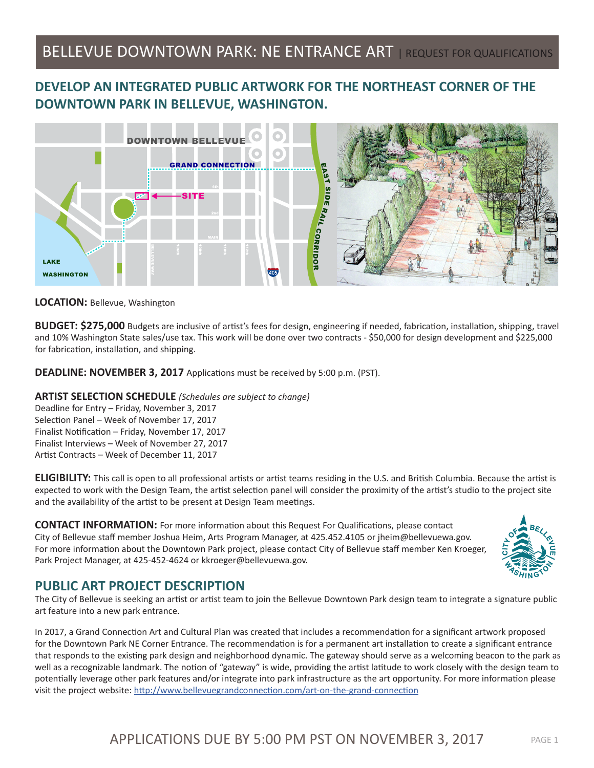# BELLEVUE DOWNTOWN PARK: NE ENTRANCE ART | REQUEST FOR QUALIFICATIONS

# **DEVELOP AN INTEGRATED PUBLIC ARTWORK FOR THE NORTHEAST CORNER OF THE DOWNTOWN PARK IN BELLEVUE, WASHINGTON.**



**LOCATION:** Bellevue, Washington

**BUDGET: \$275,000** Budgets are inclusive of artist's fees for design, engineering if needed, fabrication, installation, shipping, travel and 10% Washington State sales/use tax. This work will be done over two contracts - \$50,000 for design development and \$225,000 for fabrication, installation, and shipping.

**DEADLINE: NOVEMBER 3, 2017** Applications must be received by 5:00 p.m. (PST).

### **ARTIST SELECTION SCHEDULE** *(Schedules are subject to change)*

Deadline for Entry – Friday, November 3, 2017 Selection Panel – Week of November 17, 2017 Finalist Notification – Friday, November 17, 2017 Finalist Interviews – Week of November 27, 2017 Artist Contracts – Week of December 11, 2017

**ELIGIBILITY:** This call is open to all professional artists or artist teams residing in the U.S. and British Columbia. Because the artist is expected to work with the Design Team, the artist selection panel will consider the proximity of the artist's studio to the project site and the availability of the artist to be present at Design Team meetings.

**CONTACT INFORMATION:** For more information about this Request For Qualifications, please contact City of Bellevue staff member Joshua Heim, Arts Program Manager, at 425.452.4105 or jheim@bellevuewa.gov. For more information about the Downtown Park project, please contact City of Bellevue staff member Ken Kroeger, Park Project Manager, at 425-452-4624 or kkroeger@bellevuewa.gov.



# **PUBLIC ART PROJECT DESCRIPTION**

The City of Bellevue is seeking an artist or artist team to join the Bellevue Downtown Park design team to integrate a signature public art feature into a new park entrance.

In 2017, a Grand Connection Art and Cultural Plan was created that includes a recommendation for a significant artwork proposed for the Downtown Park NE Corner Entrance. The recommendation is for a permanent art installation to create a significant entrance that responds to the existing park design and neighborhood dynamic. The gateway should serve as a welcoming beacon to the park as well as a recognizable landmark. The notion of "gateway" is wide, providing the artist latitude to work closely with the design team to potentially leverage other park features and/or integrate into park infrastructure as the art opportunity. For more information please visit the project website: http://www.bellevuegrandconnection.com/art-on-the-grand-connection

# APPLICATIONS DUE BY 5:00 PM PST ON NOVEMBER 3, 2017 PAGE 1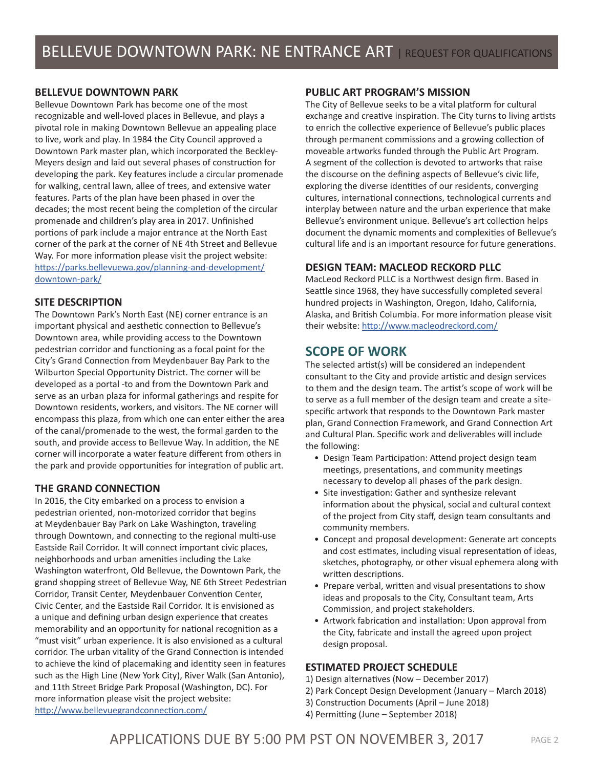# **BELLEVUE DOWNTOWN PARK**

Bellevue Downtown Park has become one of the most recognizable and well-loved places in Bellevue, and plays a pivotal role in making Downtown Bellevue an appealing place to live, work and play. In 1984 the City Council approved a Downtown Park master plan, which incorporated the Beckley-Meyers design and laid out several phases of construction for developing the park. Key features include a circular promenade for walking, central lawn, allee of trees, and extensive water features. Parts of the plan have been phased in over the decades; the most recent being the completion of the circular promenade and children's play area in 2017. Unfinished portions of park include a major entrance at the North East corner of the park at the corner of NE 4th Street and Bellevue Way. For more information please visit the project website: https://parks.bellevuewa.gov/planning-and-development/ downtown-park/

### **SITE DESCRIPTION**

The Downtown Park's North East (NE) corner entrance is an important physical and aesthetic connection to Bellevue's Downtown area, while providing access to the Downtown pedestrian corridor and functioning as a focal point for the City's Grand Connection from Meydenbauer Bay Park to the Wilburton Special Opportunity District. The corner will be developed as a portal -to and from the Downtown Park and serve as an urban plaza for informal gatherings and respite for Downtown residents, workers, and visitors. The NE corner will encompass this plaza, from which one can enter either the area of the canal/promenade to the west, the formal garden to the south, and provide access to Bellevue Way. In addition, the NE corner will incorporate a water feature different from others in the park and provide opportunities for integration of public art.

# **THE GRAND CONNECTION**

In 2016, the City embarked on a process to envision a pedestrian oriented, non-motorized corridor that begins at Meydenbauer Bay Park on Lake Washington, traveling through Downtown, and connecting to the regional multi-use Eastside Rail Corridor. It will connect important civic places, neighborhoods and urban amenities including the Lake Washington waterfront, Old Bellevue, the Downtown Park, the grand shopping street of Bellevue Way, NE 6th Street Pedestrian Corridor, Transit Center, Meydenbauer Convention Center, Civic Center, and the Eastside Rail Corridor. It is envisioned as a unique and defining urban design experience that creates memorability and an opportunity for national recognition as a "must visit" urban experience. It is also envisioned as a cultural corridor. The urban vitality of the Grand Connection is intended to achieve the kind of placemaking and identity seen in features such as the High Line (New York City), River Walk (San Antonio), and 11th Street Bridge Park Proposal (Washington, DC). For more information please visit the project website: http://www.bellevuegrandconnection.com/

### **PUBLIC ART PROGRAM'S MISSION**

The City of Bellevue seeks to be a vital platform for cultural exchange and creative inspiration. The City turns to living artists to enrich the collective experience of Bellevue's public places through permanent commissions and a growing collection of moveable artworks funded through the Public Art Program. A segment of the collection is devoted to artworks that raise the discourse on the defining aspects of Bellevue's civic life, exploring the diverse identities of our residents, converging cultures, international connections, technological currents and interplay between nature and the urban experience that make Bellevue's environment unique. Bellevue's art collection helps document the dynamic moments and complexities of Bellevue's cultural life and is an important resource for future generations.

# **DESIGN TEAM: MACLEOD RECKORD PLLC**

MacLeod Reckord PLLC is a Northwest design firm. Based in Seattle since 1968, they have successfully completed several hundred projects in Washington, Oregon, Idaho, California, Alaska, and British Columbia. For more information please visit their website: http://www.macleodreckord.com/

# **SCOPE OF WORK**

The selected artist(s) will be considered an independent consultant to the City and provide artistic and design services to them and the design team. The artist's scope of work will be to serve as a full member of the design team and create a sitespecific artwork that responds to the Downtown Park master plan, Grand Connection Framework, and Grand Connection Art and Cultural Plan. Specific work and deliverables will include the following:

- Design Team Participation: Attend project design team meetings, presentations, and community meetings necessary to develop all phases of the park design.
- Site investigation: Gather and synthesize relevant information about the physical, social and cultural context of the project from City staff, design team consultants and community members.
- Concept and proposal development: Generate art concepts and cost estimates, including visual representation of ideas, sketches, photography, or other visual ephemera along with written descriptions.
- Prepare verbal, written and visual presentations to show ideas and proposals to the City, Consultant team, Arts Commission, and project stakeholders.
- Artwork fabrication and installation: Upon approval from the City, fabricate and install the agreed upon project design proposal.

# **ESTIMATED PROJECT SCHEDULE**

- 1) Design alternatives (Now December 2017)
- 2) Park Concept Design Development (January March 2018)
- 3) Construction Documents (April June 2018)
- 4) Permitting (June September 2018)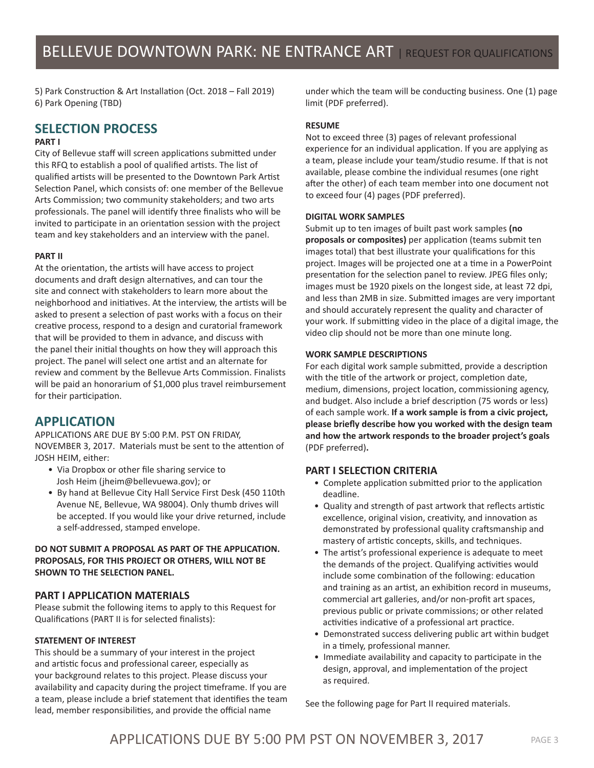5) Park Construction & Art Installation (Oct. 2018 – Fall 2019) 6) Park Opening (TBD)

# **SELECTION PROCESS**

### **PART I**

City of Bellevue staff will screen applications submitted under this RFQ to establish a pool of qualified artists. The list of qualified artists will be presented to the Downtown Park Artist Selection Panel, which consists of: one member of the Bellevue Arts Commission; two community stakeholders; and two arts professionals. The panel will identify three finalists who will be invited to participate in an orientation session with the project team and key stakeholders and an interview with the panel.

### **PART II**

At the orientation, the artists will have access to project documents and draft design alternatives, and can tour the site and connect with stakeholders to learn more about the neighborhood and initiatives. At the interview, the artists will be asked to present a selection of past works with a focus on their creative process, respond to a design and curatorial framework that will be provided to them in advance, and discuss with the panel their initial thoughts on how they will approach this project. The panel will select one artist and an alternate for review and comment by the Bellevue Arts Commission. Finalists will be paid an honorarium of \$1,000 plus travel reimbursement for their participation.

# **APPLICATION**

APPLICATIONS ARE DUE BY 5:00 P.M. PST ON FRIDAY, NOVEMBER 3, 2017. Materials must be sent to the attention of JOSH HEIM, either:

- Via Dropbox or other file sharing service to Josh Heim (jheim@bellevuewa.gov); or
- By hand at Bellevue City Hall Service First Desk (450 110th Avenue NE, Bellevue, WA 98004). Only thumb drives will be accepted. If you would like your drive returned, include a self-addressed, stamped envelope.

### **DO NOT SUBMIT A PROPOSAL AS PART OF THE APPLICATION. PROPOSALS, FOR THIS PROJECT OR OTHERS, WILL NOT BE SHOWN TO THE SELECTION PANEL.**

### **PART I APPLICATION MATERIALS**

Please submit the following items to apply to this Request for Qualifications (PART II is for selected finalists):

### **STATEMENT OF INTEREST**

This should be a summary of your interest in the project and artistic focus and professional career, especially as your background relates to this project. Please discuss your availability and capacity during the project timeframe. If you are a team, please include a brief statement that identifies the team lead, member responsibilities, and provide the official name

under which the team will be conducting business. One (1) page limit (PDF preferred).

### **RESUME**

Not to exceed three (3) pages of relevant professional experience for an individual application. If you are applying as a team, please include your team/studio resume. If that is not available, please combine the individual resumes (one right after the other) of each team member into one document not to exceed four (4) pages (PDF preferred).

#### **DIGITAL WORK SAMPLES**

Submit up to ten images of built past work samples **(no proposals or composites)** per application (teams submit ten images total) that best illustrate your qualifications for this project. Images will be projected one at a time in a PowerPoint presentation for the selection panel to review. JPEG files only; images must be 1920 pixels on the longest side, at least 72 dpi, and less than 2MB in size. Submitted images are very important and should accurately represent the quality and character of your work. If submitting video in the place of a digital image, the video clip should not be more than one minute long.

#### **WORK SAMPLE DESCRIPTIONS**

For each digital work sample submitted, provide a description with the title of the artwork or project, completion date, medium, dimensions, project location, commissioning agency, and budget. Also include a brief description (75 words or less) of each sample work. **If a work sample is from a civic project, please briefly describe how you worked with the design team and how the artwork responds to the broader project's goals**  (PDF preferred)**.**

### **PART I SELECTION CRITERIA**

- Complete application submitted prior to the application deadline.
- Quality and strength of past artwork that reflects artistic excellence, original vision, creativity, and innovation as demonstrated by professional quality craftsmanship and mastery of artistic concepts, skills, and techniques.
- The artist's professional experience is adequate to meet the demands of the project. Qualifying activities would include some combination of the following: education and training as an artist, an exhibition record in museums, commercial art galleries, and/or non-profit art spaces, previous public or private commissions; or other related activities indicative of a professional art practice.
- Demonstrated success delivering public art within budget in a timely, professional manner.
- Immediate availability and capacity to participate in the design, approval, and implementation of the project as required.

See the following page for Part II required materials.